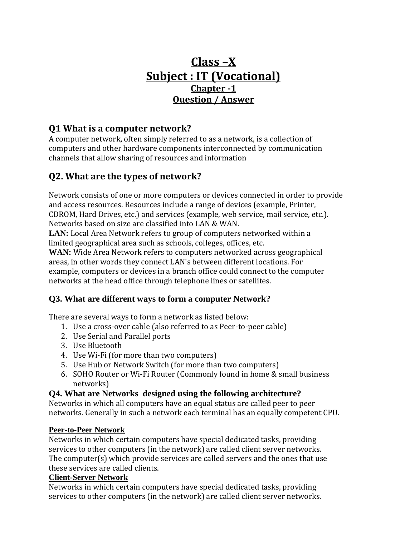# **Class –X Subject : IT (Vocational) Chapter -1 Ouestion / Answer**

### **Q1 What is a computer network?**

A computer network, often simply referred to as a network, is a collection of computers and other hardware components interconnected by communication channels that allow sharing of resources and information

## **Q2. What are the types of network?**

Network consists of one or more computers or devices connected in order to provide and access resources. Resources include a range of devices (example, Printer, CDROM, Hard Drives, etc.) and services (example, web service, mail service, etc.). Networks based on size are classified into LAN & WAN.

**LAN:** Local Area Network refers to group of computers networked within a limited geographical area such as schools, colleges, offices, etc.

**WAN:** Wide Area Network refers to computers networked across geographical areas, in other words they connect LAN's between different locations. For example, computers or devices in a branch office could connect to the computer networks at the head office through telephone lines or satellites.

### **Q3. What are different ways to form a computer Network?**

There are several ways to form a network as listed below:

- 1. Use a cross-over cable (also referred to as Peer-to-peer cable)
- 2. Use Serial and Parallel ports
- 3. Use Bluetooth
- 4. Use Wi-Fi (for more than two computers)
- 5. Use Hub or Network Switch (for more than two computers)
- 6. SOHO Router or Wi-Fi Router (Commonly found in home & small business networks)

### **Q4. What are Networks designed using the following architecture?**

Networks in which all computers have an equal status are called peer to peer networks. Generally in such a network each terminal has an equally competent CPU.

#### **Peer-to-Peer Network**

Networks in which certain computers have special dedicated tasks, providing services to other computers (in the network) are called client server networks. The computer(s) which provide services are called servers and the ones that use these services are called clients.

#### **Client-Server Network**

Networks in which certain computers have special dedicated tasks, providing services to other computers (in the network) are called client server networks.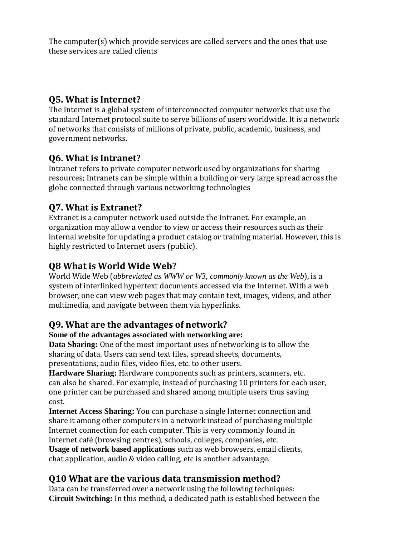The computer(s) which provide services are called servers and the ones that use these services are called clients

## **Q5. What is Internet?**

The Internet is a global system of interconnected computer networks that use the standard Internet protocol suite to serve billions of users worldwide. It is a network of networks that consists of millions of private, public, academic, business, and government networks.

### **Q6. What is Intranet?**

Intranet refers to private computer network used by organizations for sharing resources; Intranets can be simple within a building or very large spread across the globe connected through various networking technologies

### **Q7. What is Extranet?**

Extranet is a computer network used outside the Intranet. For example, an organization may allow a vendor to view or access their resources such as their internal website for updating a product catalog or training material. However, this is highly restricted to Internet users (public).

### **Q8 What is World Wide Web?**

World Wide Web (*abbreviated as WWW or W3, commonly known as the Web*), is a system of interlinked hypertext documents accessed via the Internet. With a web browser, one can view web pages that may contain text, images, videos, and other multimedia, and navigate between them via hyperlinks.

### **Q9. What are the advantages of network?**

#### **Some of the advantages associated with networking are:**

**Data Sharing:** One of the most important uses of networking is to allow the sharing of data. Users can send text files, spread sheets, documents, presentations, audio files, video files, etc. to other users.

**Hardware Sharing:** Hardware components such as printers, scanners, etc. can also be shared. For example, instead of purchasing 10 printers for each user, one printer can be purchased and shared among multiple users thus saving cost.

**Internet Access Sharing:** You can purchase a single Internet connection and share it among other computers in a network instead of purchasing multiple Internet connection for each computer. This is very commonly found in Internet café (browsing centres), schools, colleges, companies, etc. **Usage of network based applications** such as web browsers, email clients, chat application, audio & video calling, etc is another advantage.

### **Q10 What are the various data transmission method?**

Data can be transferred over a network using the following techniques: **Circuit Switching:** In this method, a dedicated path is established between the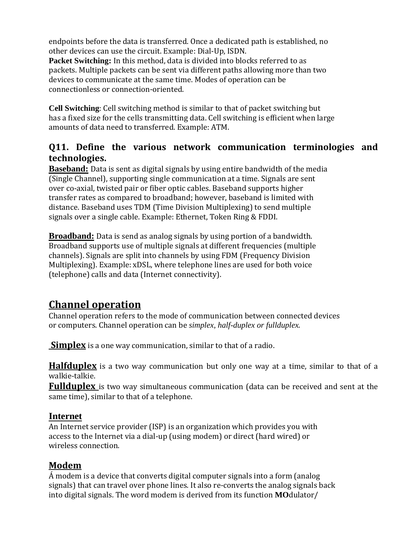endpoints before the data is transferred. Once a dedicated path is established, no other devices can use the circuit. Example: Dial-Up, ISDN.

**Packet Switching:** In this method, data is divided into blocks referred to as packets. Multiple packets can be sent via different paths allowing more than two devices to communicate at the same time. Modes of operation can be connectionless or connection-oriented.

**Cell Switching**: Cell switching method is similar to that of packet switching but has a fixed size for the cells transmitting data. Cell switching is efficient when large amounts of data need to transferred. Example: ATM.

### **Q11. Define the various network communication terminologies and technologies.**

**Baseband:** Data is sent as digital signals by using entire bandwidth of the media (Single Channel), supporting single communication at a time. Signals are sent over co-axial, twisted pair or fiber optic cables. Baseband supports higher transfer rates as compared to broadband; however, baseband is limited with distance. Baseband uses TDM (Time Division Multiplexing) to send multiple signals over a single cable. Example: Ethernet, Token Ring & FDDI.

**Broadband:** Data is send as analog signals by using portion of a bandwidth. Broadband supports use of multiple signals at different frequencies (multiple channels). Signals are split into channels by using FDM (Frequency Division Multiplexing). Example: xDSL, where telephone lines are used for both voice (telephone) calls and data (Internet connectivity).

# **Channel operation**

Channel operation refers to the mode of communication between connected devices or computers. Channel operation can be *simplex, half-duplex or fullduplex*.

**Simplex** is a one way communication, similar to that of a radio.

**Halfduplex** is a two way communication but only one way at a time, similar to that of a walkie-talkie.

**Fullduplex** is two way simultaneous communication (data can be received and sent at the same time), similar to that of a telephone.

### **Internet**

An Internet service provider (ISP) is an organization which provides you with access to the Internet via a dial-up (using modem) or direct (hard wired) or wireless connection.

### **Modem**

Á modem is a device that converts digital computer signals into a form (analog signals) that can travel over phone lines. It also re-converts the analog signals back into digital signals. The word modem is derived from its function **MO**dulator/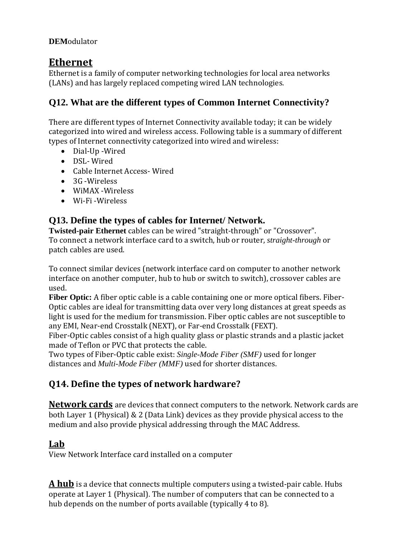### **DEM**odulator

# **Ethernet**

Ethernet is a family of computer networking technologies for local area networks (LANs) and has largely replaced competing wired LAN technologies.

### **Q12. What are the different types of Common Internet Connectivity?**

There are different types of Internet Connectivity available today; it can be widely categorized into wired and wireless access. Following table is a summary of different types of Internet connectivity categorized into wired and wireless:

- Dial-Up -Wired
- DSL- Wired
- Cable Internet Access- Wired
- 3G Wireless
- WiMAX -Wireless
- Wi-Fi -Wireless

### **Q13. Define the types of cables for Internet/ Network.**

**Twisted-pair Ethernet** cables can be wired "straight-through" or "Crossover". To connect a network interface card to a switch, hub or router, *straight-through* or patch cables are used.

To connect similar devices (network interface card on computer to another network interface on another computer, hub to hub or switch to switch), crossover cables are used.

**Fiber Optic:** A fiber optic cable is a cable containing one or more optical fibers. Fiber-Optic cables are ideal for transmitting data over very long distances at great speeds as light is used for the medium for transmission. Fiber optic cables are not susceptible to any EMI, Near-end Crosstalk (NEXT), or Far-end Crosstalk (FEXT).

Fiber-Optic cables consist of a high quality glass or plastic strands and a plastic jacket made of Teflon or PVC that protects the cable.

Two types of Fiber-Optic cable exist: *Single-Mode Fiber (SMF)* used for longer distances and *Multi-Mode Fiber (MMF)* used for shorter distances.

### **Q14. Define the types of network hardware?**

**Network cards** are devices that connect computers to the network. Network cards are both Layer 1 (Physical) & 2 (Data Link) devices as they provide physical access to the medium and also provide physical addressing through the MAC Address.

### **Lab**

View Network Interface card installed on a computer

**A hub** is a device that connects multiple computers using a twisted-pair cable. Hubs operate at Layer 1 (Physical). The number of computers that can be connected to a hub depends on the number of ports available (typically 4 to 8).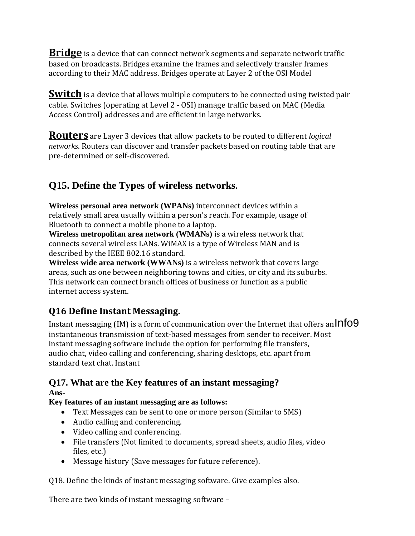**Bridge** is a device that can connect network segments and separate network traffic based on broadcasts. Bridges examine the frames and selectively transfer frames according to their MAC address. Bridges operate at Layer 2 of the OSI Model

**Switch** is a device that allows multiple computers to be connected using twisted pair cable. Switches (operating at Level 2 - OSI) manage traffic based on MAC (Media Access Control) addresses and are efficient in large networks.

**Routers** are Layer 3 devices that allow packets to be routed to different *logical networks*. Routers can discover and transfer packets based on routing table that are pre-determined or self-discovered.

# **Q15. Define the Types of wireless networks.**

**Wireless personal area network (WPANs)** interconnect devices within a relatively small area usually within a person's reach. For example, usage of Bluetooth to connect a mobile phone to a laptop.

**Wireless metropolitan area network (WMANs)** is a wireless network that connects several wireless LANs. WiMAX is a type of Wireless MAN and is described by the IEEE 802.16 standard.

**Wireless wide area network (WWANs)** is a wireless network that covers large areas, such as one between neighboring towns and cities, or city and its suburbs. This network can connect branch offices of business or function as a public internet access system.

# **Q16 Define Instant Messaging.**

Instant messaging (IM) is a form of communication over the Internet that offers an  $Info9$ instantaneous transmission of text-based messages from sender to receiver. Most instant messaging software include the option for performing file transfers, audio chat, video calling and conferencing, sharing desktops, etc. apart from standard text chat. Instant

#### **Q17. What are the Key features of an instant messaging? Ans-**

# **Key features of an instant messaging are as follows:**

- Text Messages can be sent to one or more person (Similar to SMS)
- Audio calling and conferencing.
- Video calling and conferencing.
- File transfers (Not limited to documents, spread sheets, audio files, video files, etc.)
- Message history (Save messages for future reference).

Q18. Define the kinds of instant messaging software. Give examples also.

There are two kinds of instant messaging software –